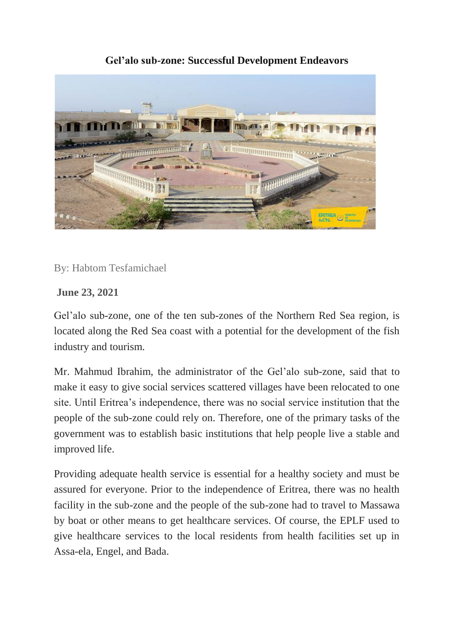## **TIME** To-**This and a** <u> a britanni manarani m</u> **ANAMANA**

## **[Gel'alo sub-zone: Successful Development Endeavors](https://shabait.com/wp-content/uploads/2021/06/Untitled-6-1.jpg)**

By: Habtom Tesfamichael

## **June 23, 2021**

Gel'alo sub-zone, one of the ten sub-zones of the Northern Red Sea region, is located along the Red Sea coast with a potential for the development of the fish industry and tourism.

Mr. Mahmud Ibrahim, the administrator of the Gel'alo sub-zone, said that to make it easy to give social services scattered villages have been relocated to one site. Until Eritrea's independence, there was no social service institution that the people of the sub-zone could rely on. Therefore, one of the primary tasks of the government was to establish basic institutions that help people live a stable and improved life.

Providing adequate health service is essential for a healthy society and must be assured for everyone. Prior to the independence of Eritrea, there was no health facility in the sub-zone and the people of the sub-zone had to travel to Massawa by boat or other means to get healthcare services. Of course, the EPLF used to give healthcare services to the local residents from health facilities set up in Assa-ela, Engel, and Bada.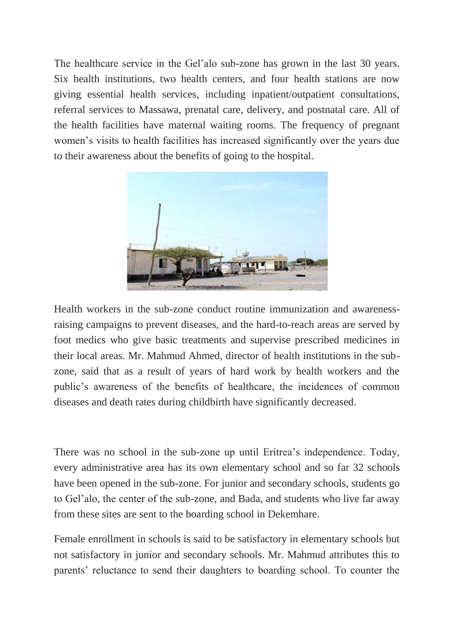The healthcare service in the Gel'alo sub-zone has grown in the last 30 years. Six health institutions, two health centers, and four health stations are now giving essential health services, including inpatient/outpatient consultations, referral services to Massawa, prenatal care, delivery, and postnatal care. All of the health facilities have maternal waiting rooms. The frequency of pregnant women's visits to health facilities has increased significantly over the years due to their awareness about the benefits of going to the hospital.



Health workers in the sub-zone conduct routine immunization and awarenessraising campaigns to prevent diseases, and the hard-to-reach areas are served by foot medics who give basic treatments and supervise prescribed medicines in their local areas. Mr. Mahmud Ahmed, director of health institutions in the subzone, said that as a result of years of hard work by health workers and the public's awareness of the benefits of healthcare, the incidences of common diseases and death rates during childbirth have significantly decreased.

There was no school in the sub-zone up until Eritrea's independence. Today, every administrative area has its own elementary school and so far 32 schools have been opened in the sub-zone. For junior and secondary schools, students go to Gel'alo, the center of the sub-zone, and Bada, and students who live far away from these sites are sent to the boarding school in Dekemhare.

Female enrollment in schools is said to be satisfactory in elementary schools but not satisfactory in junior and secondary schools. Mr. Mahmud attributes this to parents' reluctance to send their daughters to boarding school. To counter the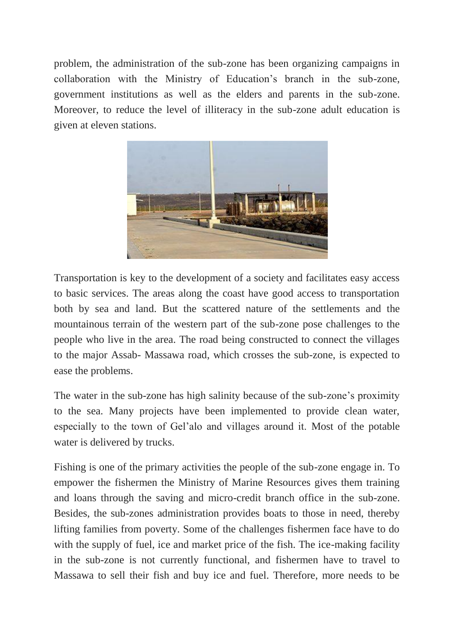problem, the administration of the sub-zone has been organizing campaigns in collaboration with the Ministry of Education's branch in the sub-zone, government institutions as well as the elders and parents in the sub-zone. Moreover, to reduce the level of illiteracy in the sub-zone adult education is given at eleven stations.



Transportation is key to the development of a society and facilitates easy access to basic services. The areas along the coast have good access to transportation both by sea and land. But the scattered nature of the settlements and the mountainous terrain of the western part of the sub-zone pose challenges to the people who live in the area. The road being constructed to connect the villages to the major Assab- Massawa road, which crosses the sub-zone, is expected to ease the problems.

The water in the sub-zone has high salinity because of the sub-zone's proximity to the sea. Many projects have been implemented to provide clean water, especially to the town of Gel'alo and villages around it. Most of the potable water is delivered by trucks.

Fishing is one of the primary activities the people of the sub-zone engage in. To empower the fishermen the Ministry of Marine Resources gives them training and loans through the saving and micro-credit branch office in the sub-zone. Besides, the sub-zones administration provides boats to those in need, thereby lifting families from poverty. Some of the challenges fishermen face have to do with the supply of fuel, ice and market price of the fish. The ice-making facility in the sub-zone is not currently functional, and fishermen have to travel to Massawa to sell their fish and buy ice and fuel. Therefore, more needs to be